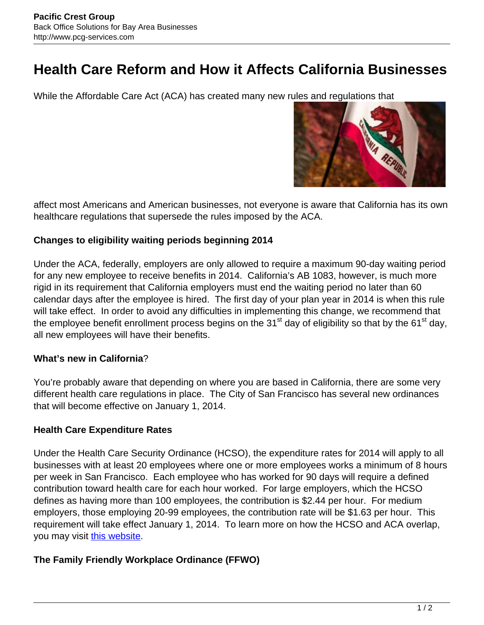# **Health Care Reform and How it Affects California Businesses**

While the Affordable Care Act (ACA) has created many new rules and regulations that



affect most Americans and American businesses, not everyone is aware that California has its own healthcare regulations that supersede the rules imposed by the ACA.

### **Changes to eligibility waiting periods beginning 2014**

Under the ACA, federally, employers are only allowed to require a maximum 90-day waiting period for any new employee to receive benefits in 2014. California's AB 1083, however, is much more rigid in its requirement that California employers must end the waiting period no later than 60 calendar days after the employee is hired. The first day of your plan year in 2014 is when this rule will take effect. In order to avoid any difficulties in implementing this change, we recommend that the employee benefit enrollment process begins on the 31<sup>st</sup> day of eligibility so that by the 61<sup>st</sup> day, all new employees will have their benefits.

## **What's new in California**?

You're probably aware that depending on where you are based in California, there are some very different health care regulations in place. The City of San Francisco has several new ordinances that will become effective on January 1, 2014.

## **Health Care Expenditure Rates**

Under the Health Care Security Ordinance (HCSO), the expenditure rates for 2014 will apply to all businesses with at least 20 employees where one or more employees works a minimum of 8 hours per week in San Francisco. Each employee who has worked for 90 days will require a defined contribution toward health care for each hour worked. For large employers, which the HCSO defines as having more than 100 employees, the contribution is \$2.44 per hour. For medium employers, those employing 20-99 employees, the contribution rate will be \$1.63 per hour. This requirement will take effect January 1, 2014. To learn more on how the HCSO and ACA overlap, you may visit [this website.](http://sfgsa.org/index.aspx?page=6306)

## **The Family Friendly Workplace Ordinance (FFWO)**